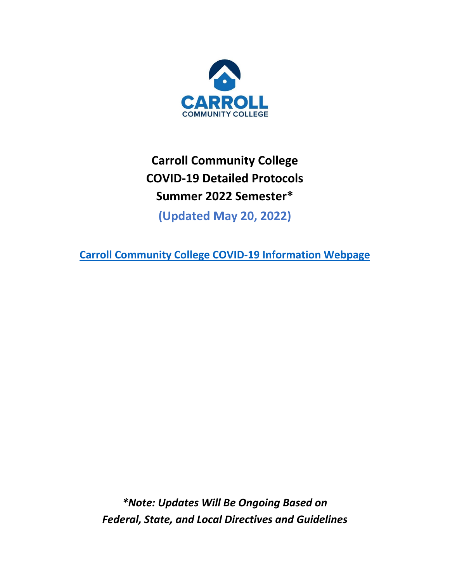

# **Carroll Community College COVID-19 Detailed Protocols Summer 2022 Semester\***

**(Updated May 20, 2022)** 

**[Carroll Community College COVID-19 Information Webpage](https://www.carrollcc.edu/resources/health-wellness-safety/covid-19-information-page/)** 

*\*Note: Updates Will Be Ongoing Based on Federal, State, and Local Directives and Guidelines*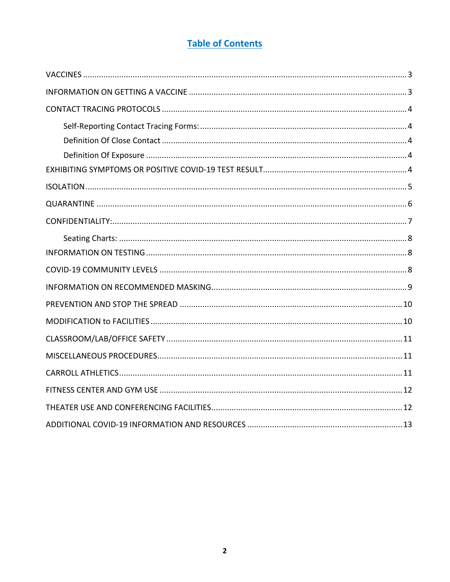# **Table of Contents**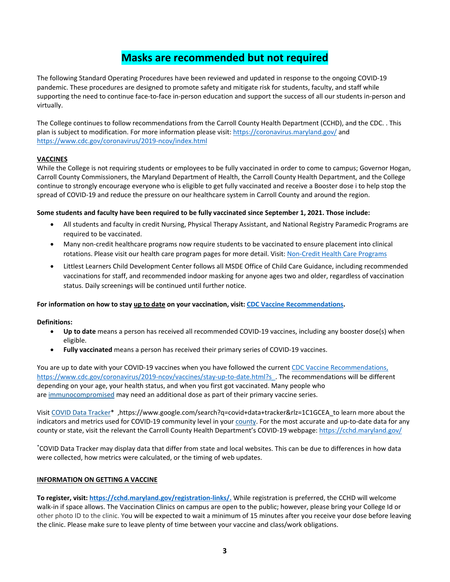# **Masks are recommended but not required**

 pandemic. These procedures are designed to promote safety and mitigate risk for students, faculty, and staff while supporting the need to continue face-to-face in-person education and support the success of all our students in-person and The following Standard Operating Procedures have been reviewed and updated in response to the ongoing COVID-19 virtually.

 The College continues to follow recommendations from the Carroll County Health Department (CCHD), and the CDC. . This plan is subject to modification. For more information please visit[: https://coronavirus.maryland.gov/ a](https://coronavirus.maryland.gov/)nd <https://www.cdc.gov/coronavirus/2019-ncov/index.html>

# <span id="page-2-0"></span>**VACCINES**

 While the College is not requiring students or employees to be fully vaccinated in order to come to campus; Governor Hogan, Carroll County Commissioners, the Maryland Department of Health, the Carroll County Health Department, and the College continue to strongly encourage everyone who is eligible to get fully vaccinated and receive a Booster dose i to help stop the spread of COVID-19 and reduce the pressure on our healthcare system in Carroll County and around the region.

# **Some students and faculty have been required to be fully vaccinated since September 1, 2021. Those include:**

- • All students and faculty in credit Nursing, Physical Therapy Assistant, and National Registry Paramedic Programs are required to be vaccinated.
- • Many non-credit healthcare programs now require students to be vaccinated to ensure placement into clinical rotations. Please visit our health care program pages for more detail. Visit: [Non-Credit Health Care Programs](https://carrollcc.augusoft.net/index.cfm?method=templates.CustomTemplatePreview&ContentID=184)
- • Littlest Learners Child Development Center follows all MSDE Office of Child Care Guidance, including recommended vaccinations for staff, and recommended indoor masking for anyone ages two and older, regardless of vaccination status. Daily screenings will be continued until further notice.

# **For information on how to stay up to date on your vaccination, visit: [CDC Vaccine Recommendations.](file://fs4/data/Public%20Relations/01-LYNDA/01%20COVID%20Sensitive/2022%20Spring/01%20Revised%20Opearting%20Plan%203.1.22/CDC%20Vaccine%20Recommendations)**

### **Definitions:**

- • **Up to date** means a person has received all recommended COVID-19 vaccines, including any booster dose(s) when eligible.
- **Fully vaccinated** means a person has received their primary series of COVID-19 vaccines.

You are up to date with your COVID-19 vaccines when you have followed the current [CDC Vaccine Recommendations,](https://www.cdc.gov/coronavirus/2019-ncov/vaccines/stay-up-to-date.html) [https://www.cdc.gov/coronavirus/2019-ncov/vaccines/stay-up-to-date.html?s\\_](https://www.cdc.gov/coronavirus/2019-ncov/vaccines/stay-up-to-date.html?s). The recommendations will be different depending on your age, your health status, and when you first got vaccinated. Many people who are [immunocompromised](https://www.cdc.gov/coronavirus/2019-ncov/vaccines/recommendations/immuno.html?s_cid=11707:covid%20booster%20immunocompromised:sem.ga:p:RG:GM:gen:PTN:FY22) may need an additional dose as part of their primary vaccine series.

indicators and metrics used for COVID-19 community level in your **county. For the most accurate and up-to-date** data for any county or state, visit the relevant the Carroll County Health Department's COVID-19 webpage: https://cchd.maryland.gov/ Visit [COVID Data Tracker\\*](https://covid.cdc.gov/covid-data-tracker/#datatracker-home) ,https://www.google.com/search?q=covid+data+tracker&rlz=1C1GCEA\_to learn more about the

 \* COVID Data Tracker may display data that differ from state and local websites. This can be due to differences in how data were collected, how metrics were calculated, or the timing of web updates.

### <span id="page-2-1"></span>**INFORMATION ON GETTING A VACCINE**

 **To register, visit: [https://cchd.maryland.gov/registration-links/.](https://cchd.maryland.gov/registration-links/)** While registration is preferred, the CCHD will welcome walk-in if space allows. The Vaccination Clinics on campus are open to the public; however, please bring your College Id or other photo ID to the clinic. You will be expected to wait a minimum of 15 minutes after you receive your dose before leaving the clinic. Please make sure to leave plenty of time between your vaccine and class/work obligations.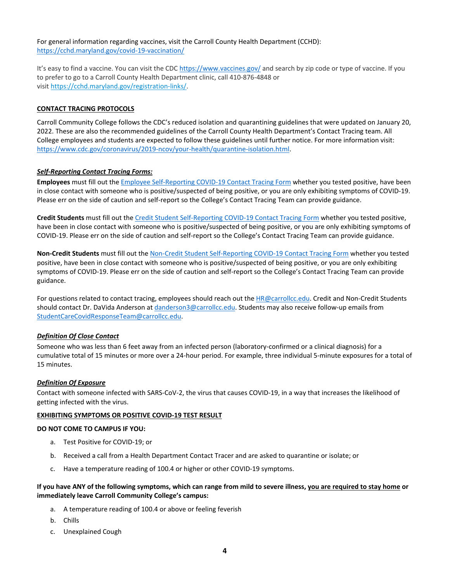For general information regarding vaccines, visit the Carroll County Health Department (CCHD): <https://cchd.maryland.gov/covid-19-vaccination/>

It's easy to find a vaccine. You can visit the CDC<https://www.vaccines.gov/>and search by zip code or type of vaccine. If you to prefer to go to a Carroll County Health Department clinic, call 410-876-4848 or visit [https://cchd.maryland.gov/registration-links/.](https://cchd.maryland.gov/registration-links/)

### <span id="page-3-0"></span>**CONTACT TRACING PROTOCOLS**

 Carroll Community College follows the CDC's reduced isolation and quarantining guidelines that were updated on January 20, 2022. These are also the recommended guidelines of the Carroll County Health Department's Contact Tracing team. All College employees and students are expected to follow these guidelines until further notice. For more information visit: [https://www.cdc.gov/coronavirus/2019-ncov/your-health/quarantine-isolation.html.](https://www.cdc.gov/coronavirus/2019-ncov/your-health/quarantine-isolation.html)

#### <span id="page-3-1"></span>*Self-Reporting Contact Tracing Forms:*

 **Employees** must fill out th[e Employee Self-Reporting COVID-19 Contact Tracing Form](https://forms.office.com/r/p4Pk9tcHSm) whether you tested positive, have been in close contact with someone who is positive/suspected of being positive, or you are only exhibiting symptoms of COVID-19. Please err on the side of caution and self-report so the College's Contact Tracing Team can provide guidance.

 **Credit Students** must fill out the [Credit Student Self-Reporting COVID-19 Contact Tracing Form](https://forms.office.com/r/gbtiZHFe38) whether you tested positive, have been in close contact with someone who is positive/suspected of being positive, or you are only exhibiting symptoms of COVID-19. Please err on the side of caution and self-report so the College's Contact Tracing Team can provide guidance.

 **Non-Credit Students** must fill out the [Non-Credit Student Self-Reporting COVID-19 Contact Tracing Form w](https://forms.office.com/pages/responsepage.aspx?id=I8-J3iAH-UKb_3AEhnHbG0h4Z2hJ5FdMgfObh-oaJbtUMzUzM1hSVVIzRFY5TU9GSlROT1dETVlZSiQlQCN0PWcu)hether you tested positive, have been in close contact with someone who is positive/suspected of being positive, or you are only exhibiting symptoms of COVID-19. Please err on the side of caution and self-report so the College's Contact Tracing Team can provide guidance.

For questions related to contact tracing, employees should reach out the **HR@carrollcc.edu.** Credit and Non-Credit Students should contact Dr. DaVida Anderson at <u>danderson3@carrollcc.edu</u>. Students may also receive follow-up emails from [StudentCareCovidResponseTeam@carrollcc.edu.](mailto:%3CStudentCareCovidResponseTeam@carrollcc.edu)

#### <span id="page-3-2"></span>*Definition Of Close Contact*

 Someone who was less than 6 feet away from an infected person (laboratory-confirmed or a clinical diagnosis) for a cumulative total of 15 minutes or more over a 24-hour period. For example, three individual 5-minute exposures for a total of 15 minutes.

#### <span id="page-3-3"></span> *Definition Of Exposure*

 Contact with someone infected with SARS-CoV-2, the virus that causes COVID-19, in a way that increases the likelihood of getting infected with the virus.

#### <span id="page-3-4"></span>**EXHIBITING SYMPTOMS OR POSITIVE COVID-19 TEST RESULT**

#### **DO NOT COME TO CAMPUS IF YOU:**

- a. Test Positive for COVID-19; or
- b. Received a call from a Health Department Contact Tracer and are asked to quarantine or isolate; or
- c. Have a temperature reading of 100.4 or higher or other COVID-19 symptoms.

#### **If you have ANY of the following symptoms, which can range from mild to severe illness, you are required to stay home or immediately leave Carroll Community College's campus:**

- a. A temperature reading of 100.4 or above or feeling feverish
- b. Chills
- c. Unexplained Cough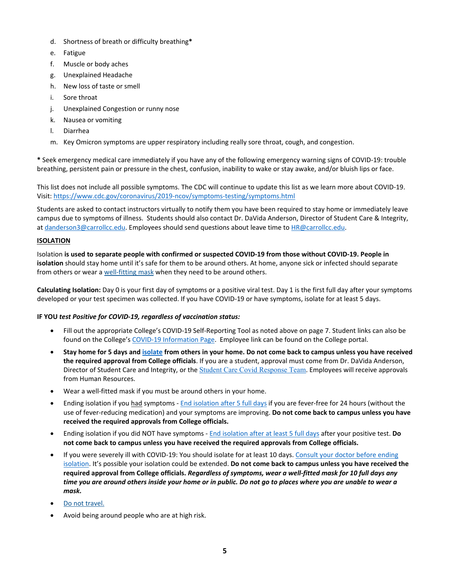- d. Shortness of breath or difficulty breathing**\***
- e. Fatigue
- f. Muscle or body aches
- g. Unexplained Headache
- h. New loss of taste or smell
- i. Sore throat
- j. Unexplained Congestion or runny nose
- k. Nausea or vomiting
- l. Diarrhea
- m. Key Omicron symptoms are upper respiratory including really sore throat, cough, and congestion.

 **\*** Seek emergency medical care immediately if you have any of the following emergency warning signs of COVID-19: trouble breathing, persistent pain or pressure in the chest, confusion, inability to wake or stay awake, and/or bluish lips or face.

 This list does not include all possible symptoms. The CDC will continue to update this list as we learn more about COVID-19. Visit: https://www.cdc.gov/coronavirus/2019-ncov/symptoms-testing/symptoms.html

 campus due to symptoms of illness. Students should also contact Dr. DaVida Anderson, Director of Student Care & Integrity, at [danderson3@carrollcc.edu.](mailto:danderson3@carrollcc.edu) Employees should send questions about leave time to HR@carrollcc.edu. Students are asked to contact instructors virtually to notify them you have been required to stay home or immediately leave

# <span id="page-4-0"></span>**ISOLATION**

 Isolation **is used to separate people with confirmed or suspected COVID-19 from those without COVID-19. People in isolation** should stay home until it's safe for them to be around others. At home, anyone sick or infected should separate from others or wear [a well-fitting mask w](https://www.cdc.gov/coronavirus/2019-ncov/your-health/effective-masks.html)hen they need to be around others.

 **Calculating Isolation:** Day 0 is your first day of symptoms or a positive viral test. Day 1 is the first full day after your symptoms developed or your test specimen was collected. If you have COVID-19 or have symptoms, isolate for at least 5 days.

### **IF YOU** *test Positive for COVID-19, regardless of vaccination status:*

- • Fill out the appropriate College's COVID-19 Self-Reporting Tool as noted above on page 7. Student links can also be found on the College's [COVID-19 Information Page.](https://www.carrollcc.edu/resources/health-wellness-safety/covid-19-information-page/) Employee link can be found on the College portal.
- **Stay home for 5 days an[d isolate f](https://www.cdc.gov/coronavirus/2019-ncov/your-health/quarantine-isolation.html)rom others in your home. Do not come back to campus unless you have received the required approval from College officials**. If you are a student, approval must come from Dr. DaVida Anderson, Director of Student Care and Integrity, or the **[Student Care Covid Response Team](mailto:StudentCareCovidResponseTeam@carrollcc.edu)**. Employees will receive approvals  from Human Resources.
- Wear a well-fitted mask if you must be around others in your home.
- Ending isolation if you had symptoms [End isolation after 5 full days](https://www.cdc.gov/coronavirus/2019-ncov/your-health/quarantine-isolation.html) if you are fever-free for 24 hours (without the use of fever-reducing medication) and your symptoms are improving. **Do not come back to campus unless you have received the required approvals from College officials.**
- • Ending isolation if you did NOT have symptoms [End isolation after at least 5 full days a](https://www.cdc.gov/coronavirus/2019-ncov/your-health/quarantine-isolation.html)fter your positive test. **Do not come back to campus unless you have received the required approvals from College officials.**
- If you were severely ill with COVID-19: You should isolate for at least 10 days. Consult your doctor before ending  [isolation.](https://www.cdc.gov/coronavirus/2019-ncov/your-health/quarantine-isolation.html) It's possible your isolation could be extended. **Do not come back to campus unless you have received the required approval from College officials.** *Regardless of symptoms, wear a well-fitted mask for 10 full days any time you are around others inside your home or in public. Do not go to places where you are unable to wear a mask.*
- [Do not travel.](https://www.cdc.gov/coronavirus/2019-ncov/travelers/index.html#do-not-travel)
- Avoid being around people who are at high risk.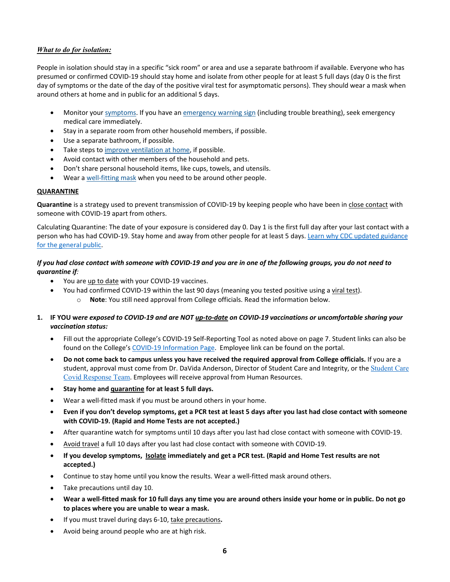# *What to do for isolation:*

 People in isolation should stay in a specific "sick room" or area and use a separate bathroom if available. Everyone who has presumed or confirmed COVID-19 should stay home and isolate from other people for at least 5 full days (day 0 is the first day of symptoms or the date of the day of the positive viral test for asymptomatic persons). They should wear a mask when around others at home and in public for an additional 5 days.

- Monitor your *symptoms*. If you have an *emergency warning sign* (including trouble breathing), seek emergency medical care immediately.
- Stay in a separate room from other household members, if possible.
- Use a separate bathroom, if possible.
- Take steps t[o improve ventilation at home,](https://www.cdc.gov/coronavirus/2019-ncov/prevent-getting-sick/Improving-Ventilation-Home.html#:%7E:text=However%2C%20if%20a%20visitor%20needs,getting%20and%20spreading%20COVID%2D19.) if possible.
- Avoid contact with other members of the household and pets.
- Don't share personal household items, like cups, towels, and utensils.
- Wear a [well-fitting mask w](https://www.cdc.gov/coronavirus/2019-ncov/your-health/effective-masks.html)hen you need to be around other people.

# <span id="page-5-0"></span>**QUARANTINE**

 **Quarantine** is a strategy used to prevent transmission of COVID-19 by keeping people who have been i[n close contact](https://www.cdc.gov/coronavirus/2019-ncov/php/contact-tracing/contact-tracing-plan/appendix.html#contact) with someone with COVID-19 apart from others.

 Calculating Quarantine: The date of your exposure is considered day 0. Day 1 is the first full day after your last contact with a person who has had COVID-19. Stay home and away from other people for at least 5 days. Learn why CDC updated guidance [for the general public.](https://www.cdc.gov/coronavirus/2019-ncov/if-you-are-sick/quarantine-isolation-background.html)

# *If you had close contact with someone with COVID-19 and you are in one of the following groups, you do not need to quarantine if:*

- You ar[e up to date w](https://www.cdc.gov/coronavirus/2019-ncov/vaccines/stay-up-to-date.html)ith your COVID-19 vaccines.
- You had confirmed COVID-19 within the last 90 days (meaning you tested positive using [a viral test\)](https://www.cdc.gov/coronavirus/2019-ncov/symptoms-testing/testing.html). o **Note**: You still need approval from College officials. Read the information below.
- **1. IF YOU w***ere exposed to COVID-19 and are NOT [up-to-date o](https://www.cdc.gov/coronavirus/2019-ncov/vaccines/stay-up-to-date.html)n COVID-19 vaccinations or uncomfortable sharing your vaccination status:* 
	- • Fill out the appropriate College's COVID-19 Self-Reporting Tool as noted above on page 7. Student links can also be found on the College's [COVID-19 Information Page.](https://www.carrollcc.edu/resources/health-wellness-safety/covid-19-information-page/) Employee link can be found on the portal.
	- **Do not come back to campus unless you have received the required approval from College officials.** If you are a student, approval must come from Dr. DaVida Anderson, Director of [Student Care](mailto:StudentCareCovidResponseTeam@carrollcc.edu) and Integrity, or the Student Care [Covid Response Team](mailto:StudentCareCovidResponseTeam@carrollcc.edu). Employees will receive approval from Human Resources.
	- **Stay home an[d quarantine f](https://www.cdc.gov/coronavirus/2019-ncov/your-health/quarantine-isolation.html#quarantine)or at least 5 full days.**
	- Wear a well-fitted mask if you must be around others in your home.
	- **Even if you don't develop symptoms, get a PCR test at least 5 days after you last had close contact with someone with COVID-19. (Rapid and Home Tests are not accepted.)**
	- After quarantine watch for symptoms until 10 days after you last had close contact with someone with COVID-19.
	- [Avoid travel](https://www.cdc.gov/coronavirus/2019-ncov/travelers/index.html#do-not-travel) a full 10 days after you last had close contact with someone with COVID-19.
	- **If you develop symptoms, [Isolate](https://www.cdc.gov/coronavirus/2019-ncov/your-health/quarantine-isolation.html#isolate) immediately and get a PCR test. (Rapid and Home Test results are not accepted.)**
	- Continue to stay home until you know the results. Wear a well-fitted mask around others.
	- Take precautions until day 10.
	- **Wear a well-fitted mask for 10 full days any time you are around others inside your home or in public. Do not go to places where you are unable to wear a mask.**
	- If you must travel during days 6-10, [take precautions](https://www.cdc.gov/coronavirus/2019-ncov/travelers/index.html#do-not-travel)**.**
	- Avoid being around people who are at high risk.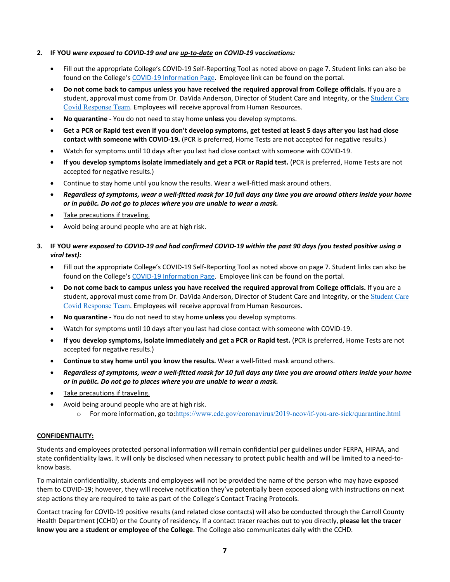# **2. IF YOU** *were exposed to COVID-19 and ar[e up-to-date](https://www.cdc.gov/coronavirus/2019-ncov/vaccines/stay-up-to-date.html) on COVID-19 vaccinations:*

- • Fill out the appropriate College's COVID-19 Self-Reporting Tool as noted above on page 7. Student links can also be found on the College's [COVID-19 Information Page.](https://www.carrollcc.edu/resources/health-wellness-safety/covid-19-information-page/) Employee link can be found on the portal.
- **Do not come back to campus unless you have received the required approval from College officials.** If you are a student, approval must come from Dr. DaVida Anderson, Director of [Student Care](mailto:StudentCareCovidResponseTeam@carrollcc.edu) and Integrity, or the Student Care [Covid Response Team](mailto:StudentCareCovidResponseTeam@carrollcc.edu). Employees will receive approval from Human Resources.
- **No quarantine -** You do not need to stay home **unless** you develop symptoms.
- **Get a PCR or Rapid test even if you don't develop symptoms, get tested at least 5 days after you last had close contact with someone with COVID-19.** (PCR is preferred, Home Tests are not accepted for negative results.)
- Watch for symptoms until 10 days after you last had close contact with someone with COVID-19.
- **If you develop symptom[s isolate](https://www.cdc.gov/coronavirus/2019-ncov/your-health/quarantine-isolation.html#isolate) immediately and get a PCR or Rapid test.** (PCR is preferred, Home Tests are not accepted for negative results.)
- Continue to stay home until you know the results. Wear a well-fitted mask around others.
- *Regardless of symptoms, wear a well-fitted mask for 10 full days any time you are around others inside your home or in public. Do not go to places where you are unable to wear a mask.*
- [Take precautions if traveling.](https://www.cdc.gov/coronavirus/2019-ncov/travelers/index.html#do-not-travel)
- Avoid being around people who are at high risk.
- **3. IF YOU** *were exposed to COVID-19 and had confirmed COVID-19 within the past 90 days (you tested positive using a viral test):* 
	- • Fill out the appropriate College's COVID-19 Self-Reporting Tool as noted above on page 7. Student links can also be found on the College's [COVID-19 Information Page.](https://www.carrollcc.edu/resources/health-wellness-safety/covid-19-information-page/) Employee link can be found on the portal.
	- **Do not come back to campus unless you have received the required approval from College officials.** If you are a student, approval must come from Dr. DaVida Anderson, Director of [Student Care](mailto:StudentCareCovidResponseTeam@carrollcc.edu) and Integrity, or the Student Care [Covid Response Team](mailto:StudentCareCovidResponseTeam@carrollcc.edu). Employees will receive approval from Human Resources.
	- **No quarantine -** You do not need to stay home **unless** you develop symptoms.
	- Watch for symptoms until 10 days after you last had close contact with someone with COVID-19.
	- **If you develop symptoms, [isolate i](https://www.cdc.gov/coronavirus/2019-ncov/your-health/quarantine-isolation.html#isolate)mmediately and get a PCR or Rapid test.** (PCR is preferred, Home Tests are not accepted for negative results.)
	- **Continue to stay home until you know the results.** Wear a well-fitted mask around others.
	- *Regardless of symptoms, wear a well-fitted mask for 10 full days any time you are around others inside your home or in public. Do not go to places where you are unable to wear a mask.*
	- [Take precautions if traveling.](https://www.cdc.gov/coronavirus/2019-ncov/travelers/index.html#do-not-travel)
	- • Avoid being around people who are at high risk.
		- o For more information, go to:https://www.cdc.gov/coronavirus/2019-ncov/if-you-are-sick/quarantine.html

#### <span id="page-6-0"></span>**CONFIDENTIALITY:**

 Students and employees protected personal information will remain confidential per guidelines under FERPA, HIPAA, and state confidentiality laws. It will only be disclosed when necessary to protect public health and will be limited to a need-toknow basis.

 To maintain confidentiality, students and employees will not be provided the name of the person who may have exposed them to COVID-19; however, they will receive notification they've potentially been exposed along with instructions on next step actions they are required to take as part of the College's Contact Tracing Protocols.

 Contact tracing for COVID-19 positive results (and related close contacts) will also be conducted through the Carroll County Health Department (CCHD) or the County of residency. If a contact tracer reaches out to you directly, **please let the tracer know you are a student or employee of the College**. The College also communicates daily with the CCHD.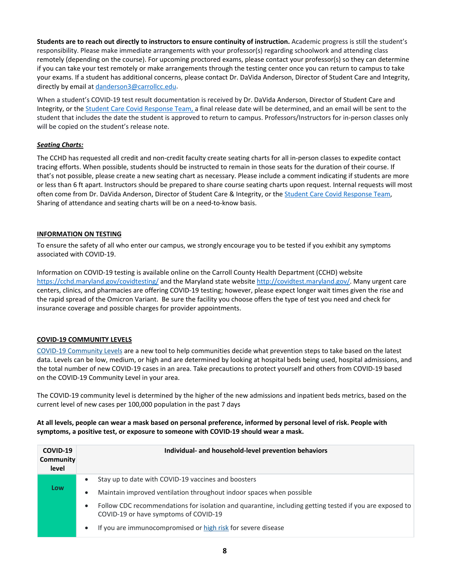Students are to reach out directly to instructors to ensure continuity of instruction. Academic progress is still the student's responsibility. Please make immediate arrangements with your professor(s) regarding schoolwork and attending class remotely (depending on the course). For upcoming proctored exams, please contact your professor(s) so they can determine if you can take your test remotely or make arrangements through the testing center once you can return to campus to take your exams. If a student has additional concerns, please contact Dr. DaVida Anderson, Director of Student Care and Integrity, directly by email at [danderson3@carrollcc.edu.](mailto:danderson3@carrollcc.edu)

 When a student's COVID-19 test result documentation is received by Dr. DaVida Anderson, Director of Student Care and Integrity, or th[e Student Care Covid Response Team,](mailto:StudentCareCovidResponseTeam@carrollcc.edu) a final release date will be determined, and an email will be sent to the student that includes the date the student is approved to return to campus. Professors/Instructors for in-person classes only will be copied on the student's release note.

# <span id="page-7-0"></span>*Seating Charts:*

 The CCHD has requested all credit and non-credit faculty create seating charts for all in-person classes to expedite contact tracing efforts. When possible, students should be instructed to remain in those seats for the duration of their course. If that's not possible, please create a new seating chart as necessary. Please include a comment indicating if students are more or less than 6 ft apart. Instructors should be prepared to share course seating charts upon request. Internal requests will most often come from Dr. DaVida Anderson, Director of Student Care & Integrity, or the Student Care Covid Response Team, Sharing of attendance and seating charts will be on a need-to-know basis.

# <span id="page-7-1"></span>**INFORMATION ON TESTING**

 To ensure the safety of all who enter our campus, we strongly encourage you to be tested if you exhibit any symptoms associated with COVID-19.

 Information on COVID-19 testing is available online on the Carroll County Health Department (CCHD) website <https://cchd.maryland.gov/covidtesting/>and the Maryland state websit[e http://covidtest.maryland.gov/.](http://covidtest.maryland.gov/) Many urgent care centers, clinics, and pharmacies are offering COVID-19 testing; however, please expect longer wait times given the rise and the rapid spread of the Omicron Variant. Be sure the facility you choose offers the type of test you need and check for insurance coverage and possible charges for provider appointments.

# <span id="page-7-2"></span>**COVID-19 COMMUNITY LEVELS**

[COVID-19 Community Levels a](https://www.cdc.gov/coronavirus/2019-ncov/science/community-levels.html)re a new tool to help communities decide what prevention steps to take based on the latest data. Levels can be low, medium, or high and are determined by looking at hospital beds being used, hospital admissions, and the total number of new COVID-19 cases in an area. Take precautions to protect yourself and others from COVID-19 based on the COVID-19 Community Level in your area.

 The COVID-19 community level is determined by the higher of the new admissions and inpatient beds metrics, based on the current level of new cases per 100,000 population in the past 7 days

 **At all levels, people can wear a mask based on personal preference, informed by personal level of risk. People with symptoms, a positive test, or exposure to someone with COVID-19 should wear a mask.** 

| COVID-19<br><b>Community</b><br>level | Individual- and household-level prevention behaviors                                                                                                  |
|---------------------------------------|-------------------------------------------------------------------------------------------------------------------------------------------------------|
|                                       | Stay up to date with COVID-19 vaccines and boosters<br>$\bullet$                                                                                      |
| Low                                   | Maintain improved ventilation throughout indoor spaces when possible<br>٠                                                                             |
|                                       | Follow CDC recommendations for isolation and quarantine, including getting tested if you are exposed to<br>٠<br>COVID-19 or have symptoms of COVID-19 |
|                                       | If you are immunocompromised or high risk for severe disease<br>$\bullet$                                                                             |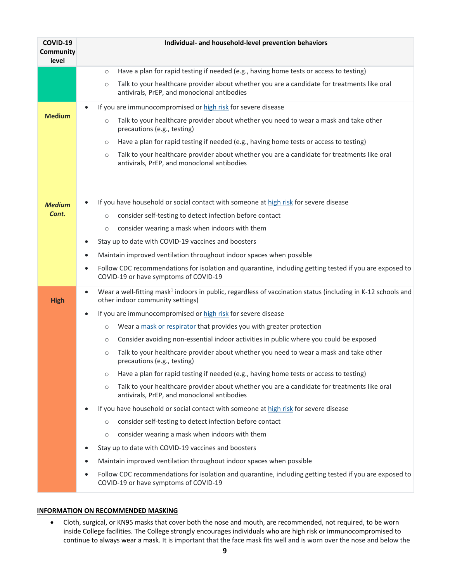| COVID-19<br>Community<br>level | Individual- and household-level prevention behaviors                                                                                                                      |
|--------------------------------|---------------------------------------------------------------------------------------------------------------------------------------------------------------------------|
|                                | Have a plan for rapid testing if needed (e.g., having home tests or access to testing)<br>$\circ$                                                                         |
|                                | Talk to your healthcare provider about whether you are a candidate for treatments like oral<br>$\circ$<br>antivirals, PrEP, and monoclonal antibodies                     |
|                                | If you are immunocompromised or high risk for severe disease                                                                                                              |
| <b>Medium</b>                  | Talk to your healthcare provider about whether you need to wear a mask and take other<br>$\circ$<br>precautions (e.g., testing)                                           |
|                                | Have a plan for rapid testing if needed (e.g., having home tests or access to testing)<br>$\circ$                                                                         |
|                                | Talk to your healthcare provider about whether you are a candidate for treatments like oral<br>$\circ$<br>antivirals, PrEP, and monoclonal antibodies                     |
|                                |                                                                                                                                                                           |
| <b>Medium</b>                  | If you have household or social contact with someone at high risk for severe disease                                                                                      |
| Cont.                          | consider self-testing to detect infection before contact<br>$\circ$                                                                                                       |
|                                | consider wearing a mask when indoors with them<br>$\circ$                                                                                                                 |
|                                | Stay up to date with COVID-19 vaccines and boosters<br>$\bullet$                                                                                                          |
|                                | Maintain improved ventilation throughout indoor spaces when possible<br>$\bullet$                                                                                         |
|                                | Follow CDC recommendations for isolation and quarantine, including getting tested if you are exposed to<br>$\bullet$<br>COVID-19 or have symptoms of COVID-19             |
| <b>High</b>                    | Wear a well-fitting mask <sup>1</sup> indoors in public, regardless of vaccination status (including in K-12 schools and<br>$\bullet$<br>other indoor community settings) |
|                                | If you are immunocompromised or high risk for severe disease<br>$\bullet$                                                                                                 |
|                                | Wear a mask or respirator that provides you with greater protection<br>$\circ$                                                                                            |
|                                | Consider avoiding non-essential indoor activities in public where you could be exposed<br>$\circ$                                                                         |
|                                | Talk to your healthcare provider about whether you need to wear a mask and take other<br>$\circ$<br>precautions (e.g., testing)                                           |
|                                | Have a plan for rapid testing if needed (e.g., having home tests or access to testing)<br>$\circ$                                                                         |
|                                | Talk to your healthcare provider about whether you are a candidate for treatments like oral<br>$\circ$<br>antivirals, PrEP, and monoclonal antibodies                     |
|                                | If you have household or social contact with someone at high risk for severe disease                                                                                      |
|                                | consider self-testing to detect infection before contact<br>$\circ$                                                                                                       |
|                                | consider wearing a mask when indoors with them<br>$\circ$                                                                                                                 |
|                                | Stay up to date with COVID-19 vaccines and boosters<br>$\bullet$                                                                                                          |
|                                | Maintain improved ventilation throughout indoor spaces when possible<br>$\bullet$                                                                                         |
|                                | Follow CDC recommendations for isolation and quarantine, including getting tested if you are exposed to<br>$\bullet$<br>COVID-19 or have symptoms of COVID-19             |

#### <span id="page-8-0"></span> **INFORMATION ON RECOMMENDED MASKING**

 • Cloth, surgical, or KN95 masks that cover both the nose and mouth, are recommended, not required, to be worn inside College facilities. The College strongly encourages individuals who are high risk or immunocompromised to continue to always wear a mask. It is important that the face mask fits well and is worn over the nose and below the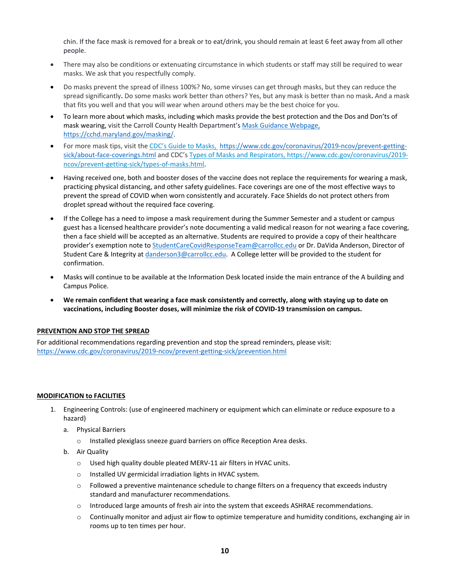chin. If the face mask is removed for a break or to eat/drink, you should remain at least 6 feet away from all other people.

- • There may also be conditions or extenuating circumstance in which students or staff may still be required to wear masks. We ask that you respectfully comply.
- • Do masks prevent the spread of illness 100%? No, some viruses can get through masks, but they can reduce the spread significantly**.** Do some masks work better than others? Yes, but any mask is better than no mask**.** And a mask that fits you well and that you will wear when around others may be the best choice for you.
- • To learn more about which masks, including which masks provide the best protection and the Dos and Don'ts of mask wearing, visit the Carroll County Health Department'[s Mask Guidance Webpage,](https://cchd.maryland.gov/masking/) https://cchd.maryland.gov/masking/.
- For more mask tips, visit th[e CDC's Guide to Masks,](https://www.cdc.gov/coronavirus/2019-ncov/prevent-getting-sick/about-face-coverings.html) [https://www.cdc.gov/coronavirus/2019-ncov/prevent-getting-](https://www.cdc.gov/coronavirus/2019-ncov/prevent-getting-sick/about-face-coverings.html) [sick/about-face-coverings.html a](https://www.cdc.gov/coronavirus/2019-ncov/prevent-getting-sick/about-face-coverings.html)nd CDC'[s Types of Masks and Respirators,](https://www.cdc.gov/coronavirus/2019-ncov/prevent-getting-sick/types-of-masks.html) <https://www.cdc.gov/coronavirus/2019> ncov/prevent-getting-sick/types-of-masks.html.
- • Having received one, both and booster doses of the vaccine does not replace the requirements for wearing a mask, practicing physical distancing, and other safety guidelines. Face coverings are one of the most effective ways to prevent the spread of COVID when worn consistently and accurately. Face Shields do not protect others from droplet spread without the required face covering.
- • If the College has a need to impose a mask requirement during the Summer Semester and a student or campus guest has a licensed healthcare provider's note documenting a valid medical reason for not wearing a face covering, then a face shield will be accepted as an alternative. Students are required to provide a copy of their healthcare provider's exemption note t[o StudentCareCovidResponseTeam@carrollcc.edu](mailto:StudentCareCovidResponseTeam@carrollcc.edu) or Dr. DaVida Anderson, Director of Student Care & Integrity a[t danderson3@carrollcc.edu.](mailto:danderson3@carrollcc.edu) A College letter will be provided to the student for confirmation.
- • Masks will continue to be available at the Information Desk located inside the main entrance of the A building and Campus Police.
- **We remain confident that wearing a face mask consistently and correctly, along with staying up to date on vaccinations, including Booster doses, will minimize the risk of COVID-19 transmission on campus.**

# <span id="page-9-0"></span> **PREVENTION AND STOP THE SPREAD**

 For additional recommendations regarding prevention and stop the spread reminders, please visit: <https://www.cdc.gov/coronavirus/2019-ncov/prevent-getting-sick/prevention.html>

## <span id="page-9-1"></span>**MODIFICATION to FACILITIES**

- 1. Engineering Controls: (use of engineered machinery or equipment which can eliminate or reduce exposure to a hazard)
	- a. Physical Barriers
		- $\circ$  Installed plexiglass sneeze guard barriers on office Reception Area desks.
	- b. Air Quality
		- o Used high quality double pleated MERV-11 air filters in HVAC units.
		- o Installed UV germicidal irradiation lights in HVAC system.
		- $\circ$  Followed a preventive maintenance schedule to change filters on a frequency that exceeds industry standard and manufacturer recommendations.
		- o Introduced large amounts of fresh air into the system that exceeds ASHRAE recommendations.
		- $\circ$  Continually monitor and adjust air flow to optimize temperature and humidity conditions, exchanging air in rooms up to ten times per hour.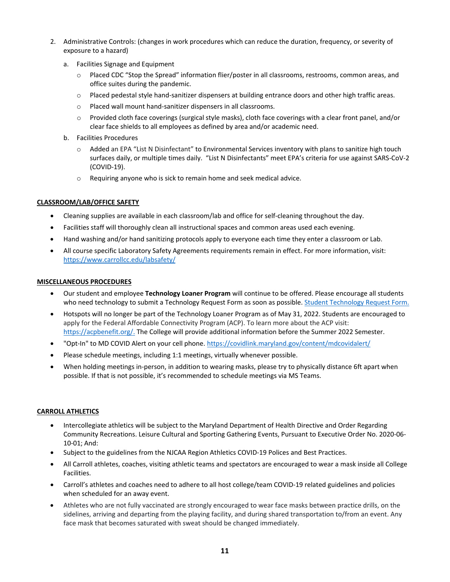- 2. Administrative Controls: (changes in work procedures which can reduce the duration, frequency, or severity of exposure to a hazard)
	- a. Facilities Signage and Equipment
		- o Placed CDC "Stop the Spread" information flier/poster in all classrooms, restrooms, common areas, and office suites during the pandemic.
		- $\circ$  Placed pedestal style hand-sanitizer dispensers at building entrance doors and other high traffic areas.
		- o Placed wall mount hand-sanitizer dispensers in all classrooms.
		- o Provided cloth face coverings (surgical style masks), cloth face coverings with a clear front panel, and/or clear face shields to all employees as defined by area and/or academic need.
	- b. Facilities Procedures
		- o Added an EPA "List N Disinfectant" to Environmental Services inventory with plans to sanitize high touch surfaces daily, or multiple times daily. "List N Disinfectants" meet EPA's criteria for use against SARS-CoV-2 (COVID-19).
		- $\circ$  Requiring anyone who is sick to remain home and seek medical advice.

# <span id="page-10-0"></span>**CLASSROOM/LAB/OFFICE SAFETY**

- Cleaning supplies are available in each classroom/lab and office for self-cleaning throughout the day.
- Facilities staff will thoroughly clean all instructional spaces and common areas used each evening.
- Hand washing and/or hand sanitizing protocols apply to everyone each time they enter a classroom or Lab.
- • All course specific Laboratory Safety Agreements requirements remain in effect. For more information, visit: <https://www.carrollcc.edu/labsafety/>

### <span id="page-10-1"></span>**MISCELLANEOUS PROCEDURES**

- Our student and employee **Technology Loaner Program** will continue to be offered. Please encourage all students who need technology to submit a Technology Request Form as soon as possible[. Student Technology Request Form.](https://forms.office.com/r/6GSGi8y4Qu)
- • Hotspots will no longer be part of the Technology Loaner Program as of May 31, 2022. Students are encouraged to apply for the Federal Affordable Connectivity Program (ACP). To learn more about the ACP visit: [https://acpbenefit.org/.](https://acpbenefit.org/) The College will provide additional information before the Summer 2022 Semester.
- "Opt-In" to MD COVID Alert on your cell phone. https://covidlink.maryland.gov/content/mdcovidalert/
- Please schedule meetings, including 1:1 meetings, virtually whenever possible.
- • When holding meetings in-person, in addition to wearing masks, please try to physically distance 6ft apart when possible. If that is not possible, it's recommended to schedule meetings via MS Teams.

### <span id="page-10-2"></span>**[CARROLL ATHLETICS](https://www.carrolllynx.com/landing/index)**

- • Intercollegiate athletics will be subject to the Maryland Department of Health Directive and Order Regarding Community Recreations. Leisure Cultural and Sporting Gathering Events, Pursuant to Executive Order No. 2020-06- 10-01; And:
- Subject to the guidelines from the NJCAA Region Athletics COVID-19 Polices and Best Practices.
- • All Carroll athletes, coaches, visiting athletic teams and spectators are encouraged to wear a mask inside all College Facilities.
- Carroll's athletes and coaches need to adhere to all host college/team COVID-19 related guidelines and policies when scheduled for an away event.
- • Athletes who are not fully vaccinated are strongly encouraged to wear face masks between practice drills, on the sidelines, arriving and departing from the playing facility, and during shared transportation to/from an event. Any face mask that becomes saturated with sweat should be changed immediately.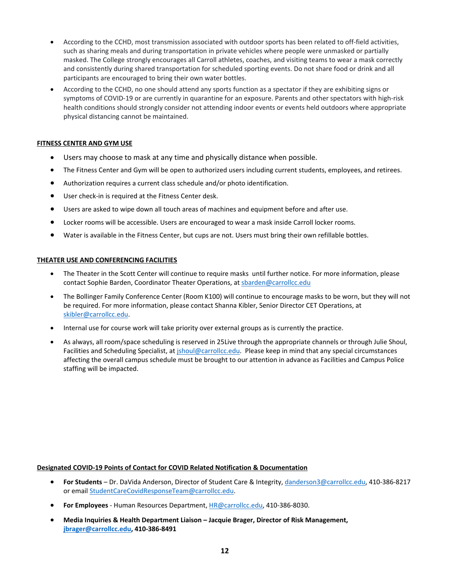- • According to the CCHD, most transmission associated with outdoor sports has been related to off-field activities, such as sharing meals and during transportation in private vehicles where people were unmasked or partially masked. The College strongly encourages all Carroll athletes, coaches, and visiting teams to wear a mask correctly and consistently during shared transportation for scheduled sporting events. Do not share food or drink and all participants are encouraged to bring their own water bottles.
- • According to the CCHD, no one should attend any sports function as a spectator if they are exhibiting signs or symptoms of COVID-19 or are currently in quarantine for an exposure. Parents and other spectators with high-risk health conditions should strongly consider not attending indoor events or events held outdoors where appropriate physical distancing cannot be maintained.

# <span id="page-11-0"></span>**FITNESS CENTER AND GYM USE**

- Users may choose to mask at any time and physically distance when possible.
- The Fitness Center and Gym will be open to authorized users including current students, employees, and retirees.
- Authorization requires a current class schedule and/or photo identification.
- User check-in is required at the Fitness Center desk.
- Users are asked to wipe down all touch areas of machines and equipment before and after use.
- Locker rooms will be accessible. Users are encouraged to wear a mask inside Carroll locker rooms.
- Water is available in the Fitness Center, but cups are not. Users must bring their own refillable bottles.

### <span id="page-11-1"></span>**THEATER USE AND CONFERENCING FACILITIES**

- • The Theater in the Scott Center will continue to require masks until further notice. For more information, please contact Sophie Barden, Coordinator Theater Operations, at **sbarden@carrollcc.edu**
- • The Bollinger Family Conference Center (Room K100) will continue to encourage masks to be worn, but they will not be required. For more information, please contact Shanna Kibler, Senior Director CET Operations, at [skibler@carrollcc.edu.](mailto:skibler@carrollcc.edu)
- Internal use for course work will take priority over external groups as is currently the practice.
- • As always, all room/space scheduling is reserved in 25Live through the appropriate channels or through Julie Shoul, Facilities and Scheduling Specialist, at *jshoul@carrollcc.edu.* Please keep in mind that any special circumstances affecting the overall campus schedule must be brought to our attention in advance as Facilities and Campus Police staffing will be impacted.

# **Designated COVID-19 Points of Contact for COVID Related Notification & Documentation**

- • **For Students**  Dr. DaVida Anderson, Director of Student Care & Integrity[, danderson3@carrollcc.edu,](mailto:danderson3@carrollcc.edu) 410-386-8217 or email [StudentCareCovidResponseTeam@carrollcc.edu.](mailto:StudentCareCovidResponseTeam@carrollcc.edu)
- **For Employees**  Human Resources Department[, HR@carrollcc.edu,](mailto:HR@carrollcc.edu) 410-386-8030.
- **Media Inquiries & Health Department Liaison Jacquie Brager, Director of Risk Management, [jbrager@carrollcc.edu,](mailto:jbrager@carrollcc.edu) 410-386-8491**